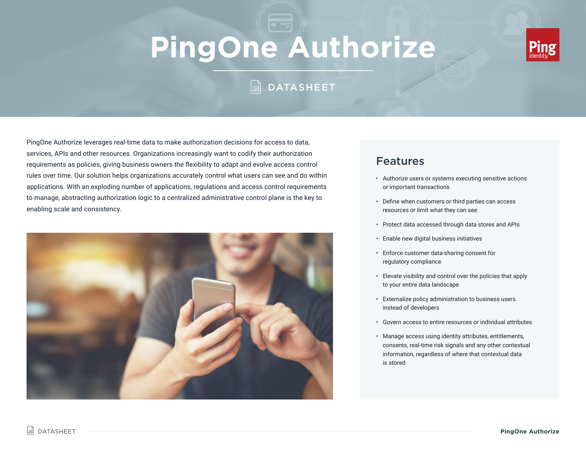# **PingOne Authorize**



# **M** DATASHEET

PingOne Authorize leverages real-time data to make authorization decisions for access to data, services, APIs and other resources. Organizations increasingly want to codify their authorization requirements as policies, giving business owners the flexibility to adapt and evolve access control rules over time. Our solution helps organizations accurately control what users can see and do within applications. With an exploding number of applications, regulations and access control requirements to manage, abstracting authorization logic to a centralized administrative control plane is the key to enabling scale and consistency.



## Features

- Authorize users or systems executing sensitive actions or important transactions
- Define when customers or third parties can access resources or limit what they can see
- Protect data accessed through data stores and APIs
- Enable new digital business initiatives
- Enforce customer data-sharing consent for regulatory compliance
- Elevate visibility and control over the policies that apply to your entire data landscape
- Externalize policy administration to business users instead of developers
- Govern access to entire resources or individual attributes
- Manage access using identity attributes, entitlements, consents, real-time risk signals and any other contextual information, regardless of where that contextual data is stored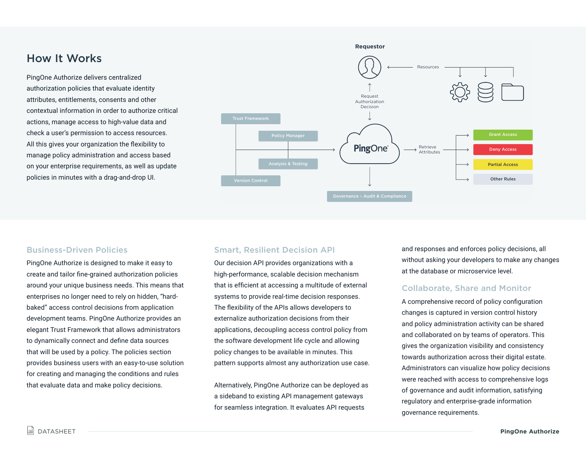## How It Works

PingOne Authorize delivers centralized authorization policies that evaluate identity attributes, entitlements, consents and other contextual information in order to authorize critical actions, manage access to high-value data and check a user's permission to access resources. All this gives your organization the flexibility to manage policy administration and access based on your enterprise requirements, as well as update policies in minutes with a drag-and-drop UI.



#### Business-Driven Policies

PingOne Authorize is designed to make it easy to create and tailor fine-grained authorization policies around your unique business needs. This means that enterprises no longer need to rely on hidden, "hardbaked" access control decisions from application development teams. PingOne Authorize provides an elegant Trust Framework that allows administrators to dynamically connect and define data sources that will be used by a policy. The policies section provides business users with an easy-to-use solution for creating and managing the conditions and rules that evaluate data and make policy decisions.

#### Smart, Resilient Decision API

Our decision API provides organizations with a high-performance, scalable decision mechanism that is efficient at accessing a multitude of external systems to provide real-time decision responses. The flexibility of the APIs allows developers to externalize authorization decisions from their applications, decoupling access control policy from the software development life cycle and allowing policy changes to be available in minutes. This pattern supports almost any authorization use case.

Alternatively, PingOne Authorize can be deployed as a sideband to existing API management gateways for seamless integration. It evaluates API requests

and responses and enforces policy decisions, all without asking your developers to make any changes at the database or microservice level.

#### Collaborate, Share and Monitor

A comprehensive record of policy configuration changes is captured in version control history and policy administration activity can be shared and collaborated on by teams of operators. This gives the organization visibility and consistency towards authorization across their digital estate. Administrators can visualize how policy decisions were reached with access to comprehensive logs of governance and audit information, satisfying regulatory and enterprise-grade information governance requirements.